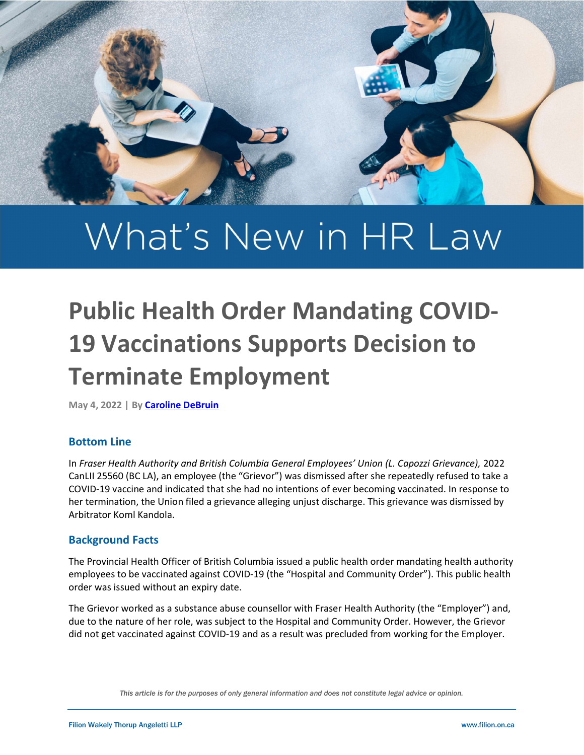

# What's New in HR Law

# Public Health Order Mandating COVID-19 Vaccinations Supports Decision to Terminate Employment

May 4, 2022 | By Caroline DeBruin

#### Bottom Line

In Fraser Health Authority and British Columbia General Employees' Union (L. Capozzi Grievance), 2022 CanLII 25560 (BC LA), an employee (the "Grievor") was dismissed after she repeatedly refused to take a COVID-19 vaccine and indicated that she had no intentions of ever becoming vaccinated. In response to her termination, the Union filed a grievance alleging unjust discharge. This grievance was dismissed by Arbitrator Koml Kandola.

#### Background Facts

The Provincial Health Officer of British Columbia issued a public health order mandating health authority employees to be vaccinated against COVID-19 (the "Hospital and Community Order"). This public health order was issued without an expiry date.

The Grievor worked as a substance abuse counsellor with Fraser Health Authority (the "Employer") and, due to the nature of her role, was subject to the Hospital and Community Order. However, the Grievor did not get vaccinated against COVID-19 and as a result was precluded from working for the Employer.

This article is for the purposes of only general information and does not constitute legal advice or opinion.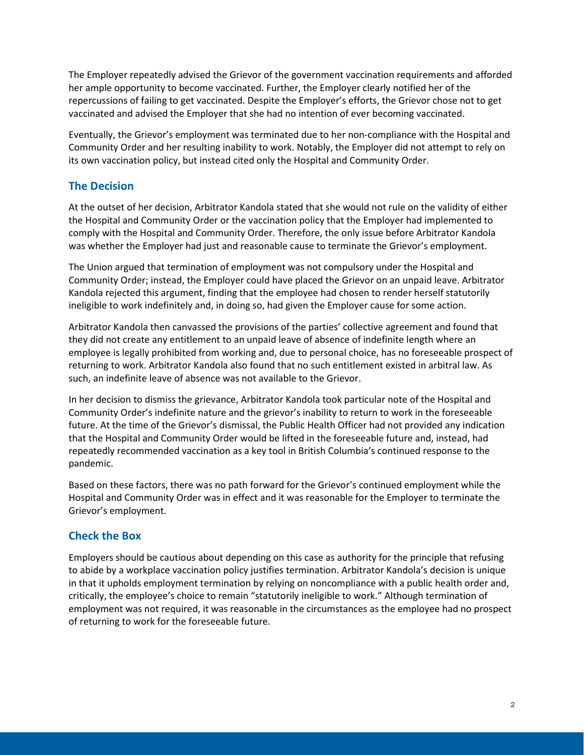The Employer repeatedly advised the Grievor of the government vaccination requirements and afforded her ample opportunity to become vaccinated. Further, the Employer clearly notified her of the repercussions of failing to get vaccinated. Despite the Employer's efforts, the Grievor chose not to get vaccinated and advised the Employer that she had no intention of ever becoming vaccinated.

Eventually, the Grievor's employment was terminated due to her non-compliance with the Hospital and Community Order and her resulting inability to work. Notably, the Employer did not attempt to rely on its own vaccination policy, but instead cited only the Hospital and Community Order.

# The Decision

At the outset of her decision, Arbitrator Kandola stated that she would not rule on the validity of either the Hospital and Community Order or the vaccination policy that the Employer had implemented to comply with the Hospital and Community Order. Therefore, the only issue before Arbitrator Kandola was whether the Employer had just and reasonable cause to terminate the Grievor's employment.

The Union argued that termination of employment was not compulsory under the Hospital and Community Order; instead, the Employer could have placed the Grievor on an unpaid leave. Arbitrator Kandola rejected this argument, finding that the employee had chosen to render herself statutorily ineligible to work indefinitely and, in doing so, had given the Employer cause for some action.

Arbitrator Kandola then canvassed the provisions of the parties' collective agreement and found that they did not create any entitlement to an unpaid leave of absence of indefinite length where an employee is legally prohibited from working and, due to personal choice, has no foreseeable prospect of returning to work. Arbitrator Kandola also found that no such entitlement existed in arbitral law. As such, an indefinite leave of absence was not available to the Grievor.

In her decision to dismiss the grievance, Arbitrator Kandola took particular note of the Hospital and Community Order's indefinite nature and the grievor's inability to return to work in the foreseeable future. At the time of the Grievor's dismissal, the Public Health Officer had not provided any indication that the Hospital and Community Order would be lifted in the foreseeable future and, instead, had repeatedly recommended vaccination as a key tool in British Columbia's continued response to the pandemic.

Based on these factors, there was no path forward for the Grievor's continued employment while the Hospital and Community Order was in effect and it was reasonable for the Employer to terminate the Grievor's employment.

# Check the Box

Employers should be cautious about depending on this case as authority for the principle that refusing to abide by a workplace vaccination policy justifies termination. Arbitrator Kandola's decision is unique in that it upholds employment termination by relying on noncompliance with a public health order and, critically, the employee's choice to remain "statutorily ineligible to work." Although termination of employment was not required, it was reasonable in the circumstances as the employee had no prospect of returning to work for the foreseeable future.